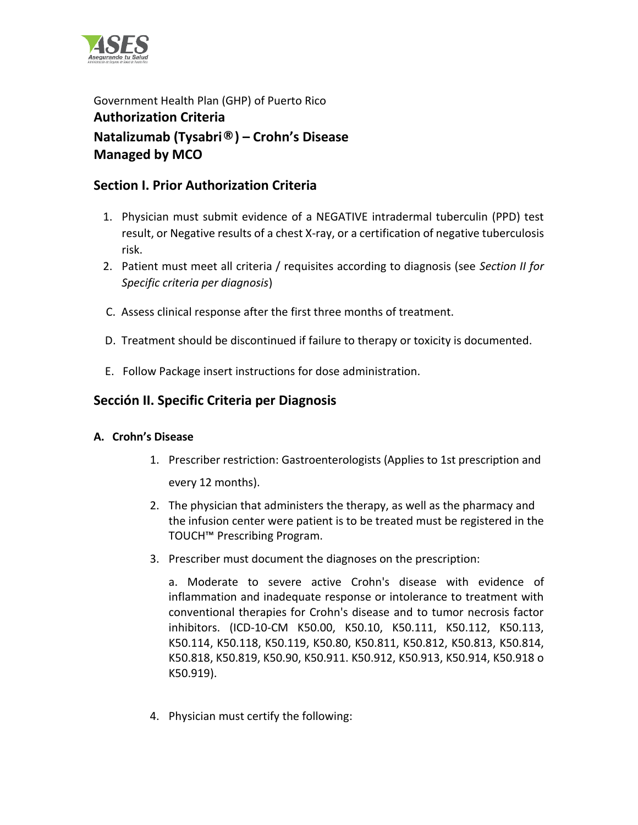

Government Health Plan (GHP) of Puerto Rico **Authorization Criteria Natalizumab (Tysabri®) – Crohn's Disease Managed by MCO** 

# **Section I. Prior Authorization Criteria**

- 1. Physician must submit evidence of a NEGATIVE intradermal tuberculin (PPD) test result, or Negative results of a chest X-ray, or a certification of negative tuberculosis risk.
- 2. Patient must meet all criteria / requisites according to diagnosis (see *Section II for Specific criteria per diagnosis*)
- C. Assess clinical response after the first three months of treatment.
- D. Treatment should be discontinued if failure to therapy or toxicity is documented.
- E. Follow Package insert instructions for dose administration.

# **Sección II. Specific Criteria per Diagnosis**

### **A. Crohn's Disease**

- 1. Prescriber restriction: Gastroenterologists (Applies to 1st prescription and every 12 months).
- 2. The physician that administers the therapy, as well as the pharmacy and the infusion center were patient is to be treated must be registered in the TOUCH™ Prescribing Program.
- 3. Prescriber must document the diagnoses on the prescription:

a. Moderate to severe active Crohn's disease with evidence of inflammation and inadequate response or intolerance to treatment with conventional therapies for Crohn's disease and to tumor necrosis factor inhibitors. (ICD-10-CM K50.00, K50.10, K50.111, K50.112, K50.113, K50.114, K50.118, K50.119, K50.80, K50.811, K50.812, K50.813, K50.814, K50.818, K50.819, K50.90, K50.911. K50.912, K50.913, K50.914, K50.918 o K50.919).

4. Physician must certify the following: